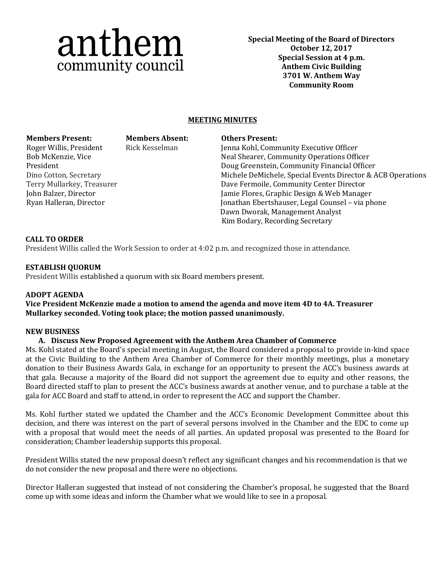# anthem community council

**Special Meeting of the Board of Directors October 12, 2017 Special Session at 4 p.m. Anthem Civic Building 3701 W. Anthem Way Community Room**

# **MEETING MINUTES**

#### **Members Present: Members Absent: Others Present:**

Roger Willis, President Bob McKenzie, Vice President Dino Cotton, Secretary Terry Mullarkey, Treasurer John Balzer, Director Ryan Halleran, Director

Rick Kesselman Jenna Kohl, Community Executive Officer Neal Shearer, Community Operations Officer Doug Greenstein, Community Financial Officer Michele DeMichele, Special Events Director & ACB Operations Dave Fermoile, Community Center Director Jamie Flores, Graphic Design & Web Manager Jonathan Ebertshauser, Legal Counsel – via phone Dawn Dworak, Management Analyst Kim Bodary, Recording Secretary

# **CALL TO ORDER**

President Willis called the Work Session to order at 4:02 p.m. and recognized those in attendance.

# **ESTABLISH QUORUM**

President Willis established a quorum with six Board members present.

# **ADOPT AGENDA**

**Vice President McKenzie made a motion to amend the agenda and move item 4D to 4A. Treasurer Mullarkey seconded. Voting took place; the motion passed unanimously.**

#### **NEW BUSINESS**

# **A. Discuss New Proposed Agreement with the Anthem Area Chamber of Commerce**

Ms. Kohl stated at the Board's special meeting in August, the Board considered a proposal to provide in-kind space at the Civic Building to the Anthem Area Chamber of Commerce for their monthly meetings, plus a monetary donation to their Business Awards Gala, in exchange for an opportunity to present the ACC's business awards at that gala. Because a majority of the Board did not support the agreement due to equity and other reasons, the Board directed staff to plan to present the ACC's business awards at another venue, and to purchase a table at the gala for ACC Board and staff to attend, in order to represent the ACC and support the Chamber.

Ms. Kohl further stated we updated the Chamber and the ACC's Economic Development Committee about this decision, and there was interest on the part of several persons involved in the Chamber and the EDC to come up with a proposal that would meet the needs of all parties. An updated proposal was presented to the Board for consideration; Chamber leadership supports this proposal.

President Willis stated the new proposal doesn't reflect any significant changes and his recommendation is that we do not consider the new proposal and there were no objections.

Director Halleran suggested that instead of not considering the Chamber's proposal, he suggested that the Board come up with some ideas and inform the Chamber what we would like to see in a proposal.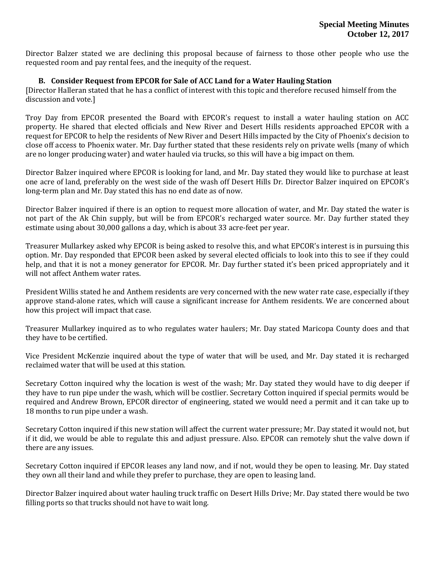Director Balzer stated we are declining this proposal because of fairness to those other people who use the requested room and pay rental fees, and the inequity of the request.

#### **B. Consider Request from EPCOR for Sale of ACC Land for a Water Hauling Station**

[Director Halleran stated that he has a conflict of interest with this topic and therefore recused himself from the discussion and vote.]

Troy Day from EPCOR presented the Board with EPCOR's request to install a water hauling station on ACC property. He shared that elected officials and New River and Desert Hills residents approached EPCOR with a request for EPCOR to help the residents of New River and Desert Hills impacted by the City of Phoenix's decision to close off access to Phoenix water. Mr. Day further stated that these residents rely on private wells (many of which are no longer producing water) and water hauled via trucks, so this will have a big impact on them.

Director Balzer inquired where EPCOR is looking for land, and Mr. Day stated they would like to purchase at least one acre of land, preferably on the west side of the wash off Desert Hills Dr. Director Balzer inquired on EPCOR's long-term plan and Mr. Day stated this has no end date as of now.

Director Balzer inquired if there is an option to request more allocation of water, and Mr. Day stated the water is not part of the Ak Chin supply, but will be from EPCOR's recharged water source. Mr. Day further stated they estimate using about 30,000 gallons a day, which is about 33 acre-feet per year.

Treasurer Mullarkey asked why EPCOR is being asked to resolve this, and what EPCOR's interest is in pursuing this option. Mr. Day responded that EPCOR been asked by several elected officials to look into this to see if they could help, and that it is not a money generator for EPCOR. Mr. Day further stated it's been priced appropriately and it will not affect Anthem water rates.

President Willis stated he and Anthem residents are very concerned with the new water rate case, especially if they approve stand-alone rates, which will cause a significant increase for Anthem residents. We are concerned about how this project will impact that case.

Treasurer Mullarkey inquired as to who regulates water haulers; Mr. Day stated Maricopa County does and that they have to be certified.

Vice President McKenzie inquired about the type of water that will be used, and Mr. Day stated it is recharged reclaimed water that will be used at this station.

Secretary Cotton inquired why the location is west of the wash; Mr. Day stated they would have to dig deeper if they have to run pipe under the wash, which will be costlier. Secretary Cotton inquired if special permits would be required and Andrew Brown, EPCOR director of engineering, stated we would need a permit and it can take up to 18 months to run pipe under a wash.

Secretary Cotton inquired if this new station will affect the current water pressure; Mr. Day stated it would not, but if it did, we would be able to regulate this and adjust pressure. Also. EPCOR can remotely shut the valve down if there are any issues.

Secretary Cotton inquired if EPCOR leases any land now, and if not, would they be open to leasing. Mr. Day stated they own all their land and while they prefer to purchase, they are open to leasing land.

Director Balzer inquired about water hauling truck traffic on Desert Hills Drive; Mr. Day stated there would be two filling ports so that trucks should not have to wait long.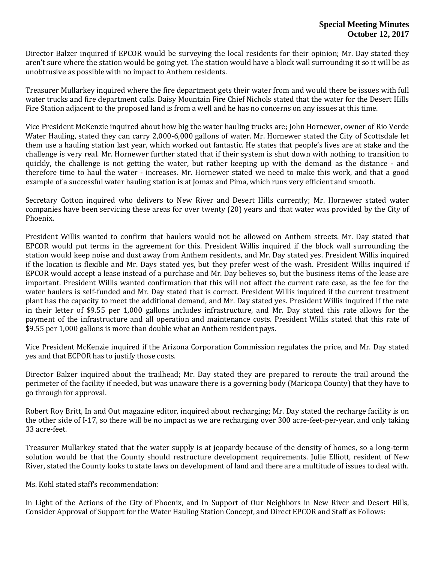Director Balzer inquired if EPCOR would be surveying the local residents for their opinion; Mr. Day stated they aren't sure where the station would be going yet. The station would have a block wall surrounding it so it will be as unobtrusive as possible with no impact to Anthem residents.

Treasurer Mullarkey inquired where the fire department gets their water from and would there be issues with full water trucks and fire department calls. Daisy Mountain Fire Chief Nichols stated that the water for the Desert Hills Fire Station adjacent to the proposed land is from a well and he has no concerns on any issues at this time.

Vice President McKenzie inquired about how big the water hauling trucks are; John Hornewer, owner of Rio Verde Water Hauling, stated they can carry 2,000-6,000 gallons of water. Mr. Hornewer stated the City of Scottsdale let them use a hauling station last year, which worked out fantastic. He states that people's lives are at stake and the challenge is very real. Mr. Hornewer further stated that if their system is shut down with nothing to transition to quickly, the challenge is not getting the water, but rather keeping up with the demand as the distance - and therefore time to haul the water - increases. Mr. Hornewer stated we need to make this work, and that a good example of a successful water hauling station is at Jomax and Pima, which runs very efficient and smooth.

Secretary Cotton inquired who delivers to New River and Desert Hills currently; Mr. Hornewer stated water companies have been servicing these areas for over twenty (20) years and that water was provided by the City of Phoenix.

President Willis wanted to confirm that haulers would not be allowed on Anthem streets. Mr. Day stated that EPCOR would put terms in the agreement for this. President Willis inquired if the block wall surrounding the station would keep noise and dust away from Anthem residents, and Mr. Day stated yes. President Willis inquired if the location is flexible and Mr. Days stated yes, but they prefer west of the wash. President Willis inquired if EPCOR would accept a lease instead of a purchase and Mr. Day believes so, but the business items of the lease are important. President Willis wanted confirmation that this will not affect the current rate case, as the fee for the water haulers is self-funded and Mr. Day stated that is correct. President Willis inquired if the current treatment plant has the capacity to meet the additional demand, and Mr. Day stated yes. President Willis inquired if the rate in their letter of \$9.55 per 1,000 gallons includes infrastructure, and Mr. Day stated this rate allows for the payment of the infrastructure and all operation and maintenance costs. President Willis stated that this rate of \$9.55 per 1,000 gallons is more than double what an Anthem resident pays.

Vice President McKenzie inquired if the Arizona Corporation Commission regulates the price, and Mr. Day stated yes and that ECPOR has to justify those costs.

Director Balzer inquired about the trailhead; Mr. Day stated they are prepared to reroute the trail around the perimeter of the facility if needed, but was unaware there is a governing body (Maricopa County) that they have to go through for approval.

Robert Roy Britt, In and Out magazine editor, inquired about recharging; Mr. Day stated the recharge facility is on the other side of I-17, so there will be no impact as we are recharging over 300 acre-feet-per-year, and only taking 33 acre-feet.

Treasurer Mullarkey stated that the water supply is at jeopardy because of the density of homes, so a long-term solution would be that the County should restructure development requirements. Julie Elliott, resident of New River, stated the County looks to state laws on development of land and there are a multitude of issues to deal with.

Ms. Kohl stated staff's recommendation:

In Light of the Actions of the City of Phoenix, and In Support of Our Neighbors in New River and Desert Hills, Consider Approval of Support for the Water Hauling Station Concept, and Direct EPCOR and Staff as Follows: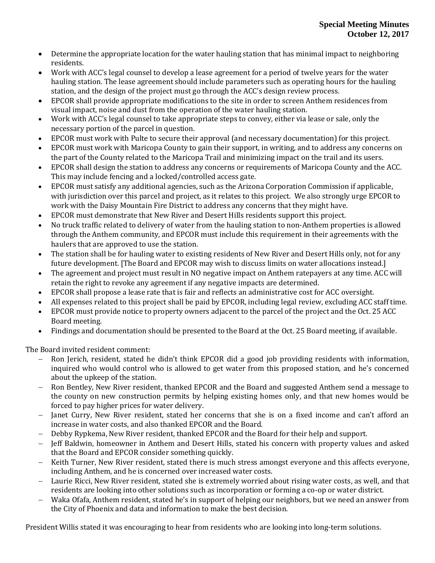- Determine the appropriate location for the water hauling station that has minimal impact to neighboring residents.
- Work with ACC's legal counsel to develop a lease agreement for a period of twelve years for the water hauling station. The lease agreement should include parameters such as operating hours for the hauling station, and the design of the project must go through the ACC's design review process.
- EPCOR shall provide appropriate modifications to the site in order to screen Anthem residences from visual impact, noise and dust from the operation of the water hauling station.
- Work with ACC's legal counsel to take appropriate steps to convey, either via lease or sale, only the necessary portion of the parcel in question.
- EPCOR must work with Pulte to secure their approval (and necessary documentation) for this project.
- EPCOR must work with Maricopa County to gain their support, in writing, and to address any concerns on the part of the County related to the Maricopa Trail and minimizing impact on the trail and its users.
- EPCOR shall design the station to address any concerns or requirements of Maricopa County and the ACC. This may include fencing and a locked/controlled access gate.
- EPCOR must satisfy any additional agencies, such as the Arizona Corporation Commission if applicable, with jurisdiction over this parcel and project, as it relates to this project. We also strongly urge EPCOR to work with the Daisy Mountain Fire District to address any concerns that they might have.
- EPCOR must demonstrate that New River and Desert Hills residents support this project.
- No truck traffic related to delivery of water from the hauling station to non-Anthem properties is allowed through the Anthem community, and EPCOR must include this requirement in their agreements with the haulers that are approved to use the station.
- The station shall be for hauling water to existing residents of New River and Desert Hills only, not for any future development. [The Board and EPCOR may wish to discuss limits on water allocations instead.]
- The agreement and project must result in NO negative impact on Anthem ratepayers at any time. ACC will retain the right to revoke any agreement if any negative impacts are determined.
- EPCOR shall propose a lease rate that is fair and reflects an administrative cost for ACC oversight.
- All expenses related to this project shall be paid by EPCOR, including legal review, excluding ACC staff time.
- EPCOR must provide notice to property owners adjacent to the parcel of the project and the Oct. 25 ACC Board meeting.
- Findings and documentation should be presented to the Board at the Oct. 25 Board meeting, if available.

The Board invited resident comment:

- Ron Jerich, resident, stated he didn't think EPCOR did a good job providing residents with information, inquired who would control who is allowed to get water from this proposed station, and he's concerned about the upkeep of the station.
- Ron Bentley, New River resident, thanked EPCOR and the Board and suggested Anthem send a message to the county on new construction permits by helping existing homes only, and that new homes would be forced to pay higher prices for water delivery.
- Janet Curry, New River resident, stated her concerns that she is on a fixed income and can't afford an increase in water costs, and also thanked EPCOR and the Board.
- Debby Rypkema, New River resident, thanked EPCOR and the Board for their help and support.
- Jeff Baldwin, homeowner in Anthem and Desert Hills, stated his concern with property values and asked that the Board and EPCOR consider something quickly.
- Keith Turner, New River resident, stated there is much stress amongst everyone and this affects everyone, including Anthem, and he is concerned over increased water costs.
- Laurie Ricci, New River resident, stated she is extremely worried about rising water costs, as well, and that residents are looking into other solutions such as incorporation or forming a co-op or water district.
- Waka Ofafa, Anthem resident, stated he's in support of helping our neighbors, but we need an answer from the City of Phoenix and data and information to make the best decision.

President Willis stated it was encouraging to hear from residents who are looking into long-term solutions.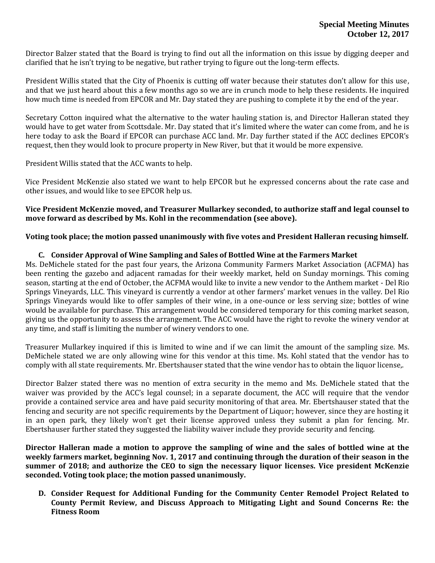Director Balzer stated that the Board is trying to find out all the information on this issue by digging deeper and clarified that he isn't trying to be negative, but rather trying to figure out the long-term effects.

President Willis stated that the City of Phoenix is cutting off water because their statutes don't allow for this use, and that we just heard about this a few months ago so we are in crunch mode to help these residents. He inquired how much time is needed from EPCOR and Mr. Day stated they are pushing to complete it by the end of the year.

Secretary Cotton inquired what the alternative to the water hauling station is, and Director Halleran stated they would have to get water from Scottsdale. Mr. Day stated that it's limited where the water can come from, and he is here today to ask the Board if EPCOR can purchase ACC land. Mr. Day further stated if the ACC declines EPCOR's request, then they would look to procure property in New River, but that it would be more expensive.

President Willis stated that the ACC wants to help.

Vice President McKenzie also stated we want to help EPCOR but he expressed concerns about the rate case and other issues, and would like to see EPCOR help us.

#### **Vice President McKenzie moved, and Treasurer Mullarkey seconded, to authorize staff and legal counsel to move forward as described by Ms. Kohl in the recommendation (see above).**

#### **Voting took place; the motion passed unanimously with five votes and President Halleran recusing himself.**

### **C. Consider Approval of Wine Sampling and Sales of Bottled Wine at the Farmers Market**

Ms. DeMichele stated for the past four years, the Arizona Community Farmers Market Association (ACFMA) has been renting the gazebo and adjacent ramadas for their weekly market, held on Sunday mornings. This coming season, starting at the end of October, the ACFMA would like to invite a new vendor to the Anthem market - Del Rio Springs Vineyards, LLC. This vineyard is currently a vendor at other farmers' market venues in the valley. Del Rio Springs Vineyards would like to offer samples of their wine, in a one-ounce or less serving size; bottles of wine would be available for purchase. This arrangement would be considered temporary for this coming market season, giving us the opportunity to assess the arrangement. The ACC would have the right to revoke the winery vendor at any time, and staff is limiting the number of winery vendors to one.

Treasurer Mullarkey inquired if this is limited to wine and if we can limit the amount of the sampling size. Ms. DeMichele stated we are only allowing wine for this vendor at this time. Ms. Kohl stated that the vendor has to comply with all state requirements. Mr. Ebertshauser stated that the wine vendor has to obtain the liquor license,.

Director Balzer stated there was no mention of extra security in the memo and Ms. DeMichele stated that the waiver was provided by the ACC's legal counsel; in a separate document, the ACC will require that the vendor provide a contained service area and have paid security monitoring of that area. Mr. Ebertshauser stated that the fencing and security are not specific requirements by the Department of Liquor; however, since they are hosting it in an open park, they likely won't get their license approved unless they submit a plan for fencing. Mr. Ebertshauser further stated they suggested the liability waiver include they provide security and fencing.

**Director Halleran made a motion to approve the sampling of wine and the sales of bottled wine at the weekly farmers market, beginning Nov. 1, 2017 and continuing through the duration of their season in the summer of 2018; and authorize the CEO to sign the necessary liquor licenses. Vice president McKenzie seconded. Voting took place; the motion passed unanimously.**

**D. Consider Request for Additional Funding for the Community Center Remodel Project Related to County Permit Review, and Discuss Approach to Mitigating Light and Sound Concerns Re: the Fitness Room**